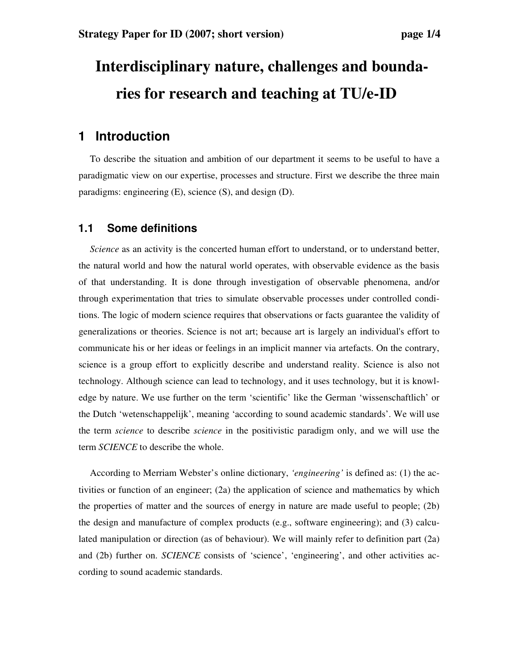# **Interdisciplinary nature, challenges and boundaries for research and teaching at TU/e-ID**

## **1 Introduction**

To describe the situation and ambition of our department it seems to be useful to have a paradigmatic view on our expertise, processes and structure. First we describe the three main paradigms: engineering (E), science (S), and design (D).

#### **1.1 Some definitions**

*Science* as an activity is the concerted human effort to understand, or to understand better, the natural world and how the natural world operates, with observable evidence as the basis of that understanding. It is done through investigation of observable phenomena, and/or through experimentation that tries to simulate observable processes under controlled conditions. The logic of modern science requires that observations or facts guarantee the validity of generalizations or theories. Science is not art; because art is largely an individual's effort to communicate his or her ideas or feelings in an implicit manner via artefacts. On the contrary, science is a group effort to explicitly describe and understand reality. Science is also not technology. Although science can lead to technology, and it uses technology, but it is knowledge by nature. We use further on the term 'scientific' like the German 'wissenschaftlich' or the Dutch 'wetenschappelijk', meaning 'according to sound academic standards'. We will use the term *science* to describe *science* in the positivistic paradigm only, and we will use the term *SCIENCE* to describe the whole.

According to Merriam Webster's online dictionary, *'engineering'* is defined as: (1) the activities or function of an engineer; (2a) the application of science and mathematics by which the properties of matter and the sources of energy in nature are made useful to people; (2b) the design and manufacture of complex products (e.g., software engineering); and (3) calculated manipulation or direction (as of behaviour). We will mainly refer to definition part (2a) and (2b) further on. *SCIENCE* consists of 'science', 'engineering', and other activities according to sound academic standards.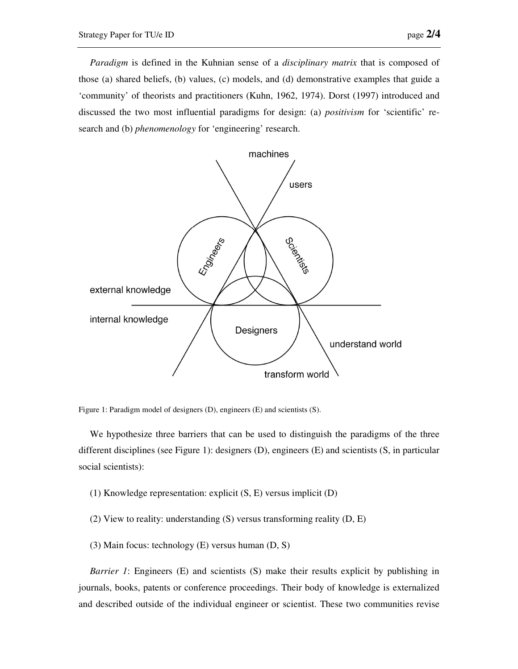*Paradigm* is defined in the Kuhnian sense of a *disciplinary matrix* that is composed of those (a) shared beliefs, (b) values, (c) models, and (d) demonstrative examples that guide a 'community' of theorists and practitioners (Kuhn, 1962, 1974). Dorst (1997) introduced and discussed the two most influential paradigms for design: (a) *positivism* for 'scientific' research and (b) *phenomenology* for 'engineering' research.



Figure 1: Paradigm model of designers (D), engineers (E) and scientists (S).

We hypothesize three barriers that can be used to distinguish the paradigms of the three different disciplines (see Figure 1): designers (D), engineers (E) and scientists (S, in particular social scientists):

- (1) Knowledge representation: explicit (S, E) versus implicit (D)
- (2) View to reality: understanding (S) versus transforming reality (D, E)
- (3) Main focus: technology (E) versus human (D, S)

*Barrier 1*: Engineers (E) and scientists (S) make their results explicit by publishing in journals, books, patents or conference proceedings. Their body of knowledge is externalized and described outside of the individual engineer or scientist. These two communities revise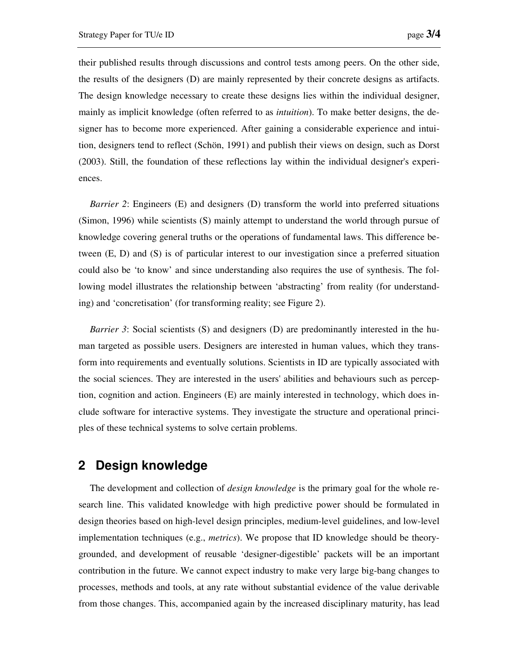their published results through discussions and control tests among peers. On the other side, the results of the designers (D) are mainly represented by their concrete designs as artifacts. The design knowledge necessary to create these designs lies within the individual designer, mainly as implicit knowledge (often referred to as *intuition*). To make better designs, the designer has to become more experienced. After gaining a considerable experience and intuition, designers tend to reflect (Schön, 1991) and publish their views on design, such as Dorst (2003). Still, the foundation of these reflections lay within the individual designer's experiences.

*Barrier 2*: Engineers (E) and designers (D) transform the world into preferred situations (Simon, 1996) while scientists (S) mainly attempt to understand the world through pursue of knowledge covering general truths or the operations of fundamental laws. This difference between (E, D) and (S) is of particular interest to our investigation since a preferred situation could also be 'to know' and since understanding also requires the use of synthesis. The following model illustrates the relationship between 'abstracting' from reality (for understanding) and 'concretisation' (for transforming reality; see Figure 2).

*Barrier 3*: Social scientists (S) and designers (D) are predominantly interested in the human targeted as possible users. Designers are interested in human values, which they transform into requirements and eventually solutions. Scientists in ID are typically associated with the social sciences. They are interested in the users' abilities and behaviours such as perception, cognition and action. Engineers (E) are mainly interested in technology, which does include software for interactive systems. They investigate the structure and operational principles of these technical systems to solve certain problems.

## **2 Design knowledge**

The development and collection of *design knowledge* is the primary goal for the whole research line. This validated knowledge with high predictive power should be formulated in design theories based on high-level design principles, medium-level guidelines, and low-level implementation techniques (e.g., *metrics*). We propose that ID knowledge should be theorygrounded, and development of reusable 'designer-digestible' packets will be an important contribution in the future. We cannot expect industry to make very large big-bang changes to processes, methods and tools, at any rate without substantial evidence of the value derivable from those changes. This, accompanied again by the increased disciplinary maturity, has lead